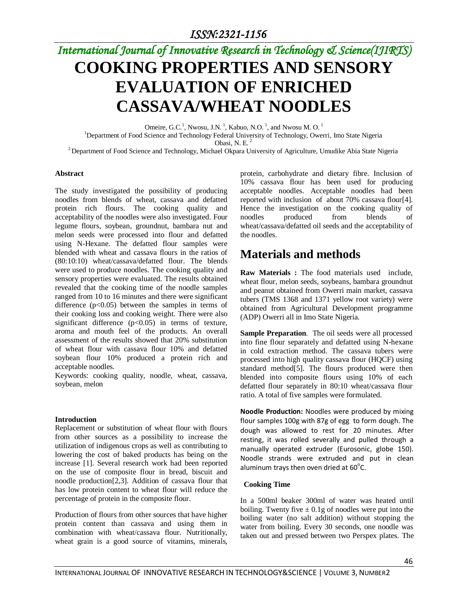# *International Journal of Innovative Research in Technology & Science(IJIRTS)* **COOKING PROPERTIES AND SENSORY EVALUATION OF ENRICHED CASSAVA/WHEAT NOODLES**

Omeire, G.C.<sup>1</sup>, Nwosu, J.N.<sup>1</sup>, Kabuo, N.O.<sup>1</sup>, and Nwosu M.O.<sup>1</sup> <sup>1</sup>Department of Food Science and Technology Federal University of Technology, Owerri, Imo State Nigeria Obasi, N. E. <sup>2</sup> <sup>2</sup> Department of Food Science and Technology, Michael Okpara University of Agriculture, Umudike Abia State Nigeria

#### **Abstract**

The study investigated the possibility of producing noodles from blends of wheat, cassava and defatted protein rich flours. The cooking quality and acceptability of the noodles were also investigated. Four legume flours, soybean, groundnut, bambara nut and melon seeds were processed into flour and defatted using N-Hexane. The defatted flour samples were blended with wheat and cassava flours in the ratios of (80:10:10) wheat/cassava/defatted flour. The blends were used to produce noodles. The cooking quality and sensory properties were evaluated. The results obtained revealed that the cooking time of the noodle samples ranged from 10 to 16 minutes and there were significant difference  $(p<0.05)$  between the samples in terms of their cooking loss and cooking weight. There were also significant difference (p<0.05) in terms of texture, aroma and mouth feel of the products. An overall assessment of the results showed that 20% substitution of wheat flour with cassava flour 10% and defatted soybean flour 10% produced a protein rich and acceptable noodles.

Keywords: cooking quality, noodle, wheat, cassava, soybean, melon

#### **Introduction**

Replacement or substitution of wheat flour with flours from other sources as a possibility to increase the utilization of indigenous crops as well as contributing to lowering the cost of baked products has being on the increase [1]. Several research work had been reported on the use of composite flour in bread, biscuit and noodle production[2,3]. Addition of cassava flour that has low protein content to wheat flour will reduce the percentage of protein in the composite flour.

Production of flours from other sources that have higher protein content than cassava and using them in combination with wheat/cassava flour. Nutritionally, wheat grain is a good source of vitamins, minerals, protein, carbohydrate and dietary fibre. Inclusion of 10% cassava flour has been used for producing acceptable noodles. Acceptable noodles had been reported with inclusion of about 70% cassava flour[4]. Hence the investigation on the cooking quality of noodles produced from blends of wheat/cassava/defatted oil seeds and the acceptability of the noodles.

## **Materials and methods**

**Raw Materials :** The food materials used include, wheat flour, melon seeds, soybeans, bambara groundnut and peanut obtained from Owerri main market, cassava tubers (TMS 1368 and 1371 yellow root variety) were obtained from Agricultural Development programme (ADP) Owerri all in Imo State Nigeria.

**Sample Preparation**. The oil seeds were all processed into fine flour separately and defatted using N-hexane in cold extraction method. The cassava tubers were processed into high quality cassava flour (HQCF) using standard method[5]. The flours produced were then blended into composite flours using 10% of each defatted flour separately in 80:10 wheat/cassava flour ratio. A total of five samples were formulated.

**Noodle Production:** Noodles were produced by mixing flour samples 100g with 87g of egg to form dough. The dough was allowed to rest for 20 minutes. After resting, it was rolled severally and pulled through a manually operated extruder (Eurosonic, globe 150). Noodle strands were extruded and put in clean aluminum trays then oven dried at  $60^{\circ}$ C.

### **Cooking Time**

In a 500ml beaker 300ml of water was heated until boiling. Twenty five  $\pm$  0.1g of noodles were put into the boiling water (no salt addition) without stopping the water from boiling. Every 30 seconds, one noodle was taken out and pressed between two Perspex plates. The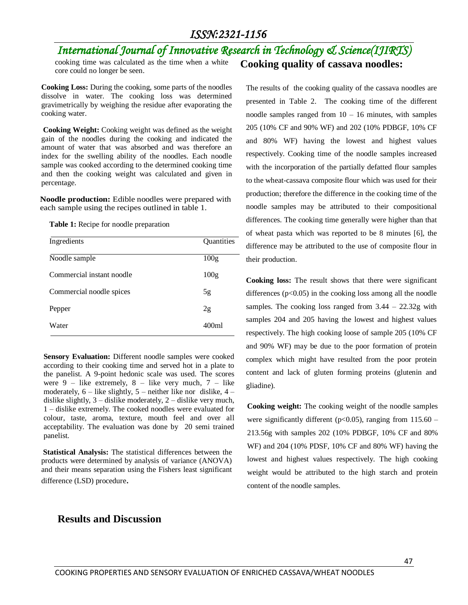## *International Journal of Innovative Research in Technology & Science(IJIRTS)*

cooking time was calculated as the time when a white core could no longer be seen.

**Cooking Loss:** During the cooking, some parts of the noodles dissolve in water. The cooking loss was determined gravimetrically by weighing the residue after evaporating the cooking water.

**Cooking Weight:** Cooking weight was defined as the weight gain of the noodles during the cooking and indicated the amount of water that was absorbed and was therefore an index for the swelling ability of the noodles. Each noodle sample was cooked according to the determined cooking time and then the cooking weight was calculated and given in percentage.

**Noodle production:** Edible noodles were prepared with each sample using the recipes outlined in table 1.

**Table 1:** Recipe for noodle preparation

| Quantities |
|------------|
| 100g       |
| 100g       |
| 5g         |
| 2g         |
| 400ml      |
|            |

**Sensory Evaluation:** Different noodle samples were cooked according to their cooking time and served hot in a plate to the panelist. A 9-point hedonic scale was used. The scores were  $9$  – like extremely,  $8$  – like very much,  $7$  – like moderately,  $6$  – like slightly,  $5$  – neither like nor dislike,  $4$  – dislike slightly, 3 – dislike moderately, 2 – dislike very much, 1 – dislike extremely. The cooked noodles were evaluated for colour, taste, aroma, texture, mouth feel and over all acceptability. The evaluation was done by 20 semi trained panelist.

**Statistical Analysis:** The statistical differences between the products were determined by analysis of variance (ANOVA) and their means separation using the Fishers least significant difference (LSD) procedure.

## **Results and Discussion**

The results of the cooking quality of the cassava noodles are presented in Table 2. The cooking time of the different noodle samples ranged from  $10 - 16$  minutes, with samples 205 (10% CF and 90% WF) and 202 (10% PDBGF, 10% CF and 80% WF) having the lowest and highest values respectively. Cooking time of the noodle samples increased with the incorporation of the partially defatted flour samples to the wheat-cassava composite flour which was used for their production; therefore the difference in the cooking time of the noodle samples may be attributed to their compositional differences. The cooking time generally were higher than that of wheat pasta which was reported to be 8 minutes [6], the difference may be attributed to the use of composite flour in their production.

**Cooking quality of cassava noodles:**

**Cooking loss:** The result shows that there were significant differences  $(p<0.05)$  in the cooking loss among all the noodle samples. The cooking loss ranged from 3.44 – 22.32g with samples 204 and 205 having the lowest and highest values respectively. The high cooking loose of sample 205 (10% CF and 90% WF) may be due to the poor formation of protein complex which might have resulted from the poor protein content and lack of gluten forming proteins (glutenin and gliadine).

**Cooking weight:** The cooking weight of the noodle samples were significantly different ( $p<0.05$ ), ranging from 115.60 – 213.56g with samples 202 (10% PDBGF, 10% CF and 80% WF) and 204 (10% PDSF, 10% CF and 80% WF) having the lowest and highest values respectively. The high cooking weight would be attributed to the high starch and protein content of the noodle samples.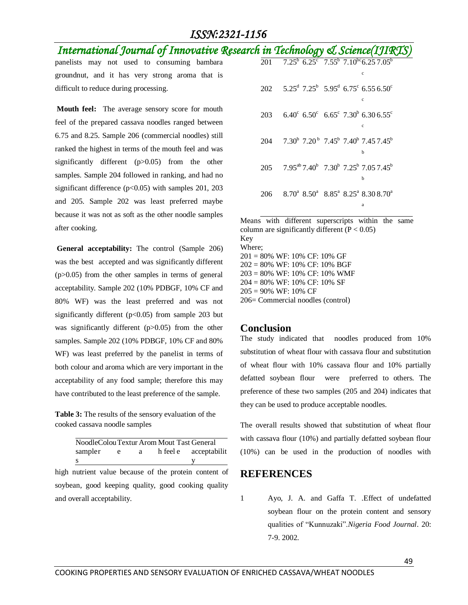## *ISSN:2321-1156*

## *International Journal of Innovative Research in Technology & Science(IJIRTS)*

panelists may not used to consuming bambara groundnut, and it has very strong aroma that is difficult to reduce during processing.

**Mouth feel:** The average sensory score for mouth feel of the prepared cassava noodles ranged between 6.75 and 8.25. Sample 206 (commercial noodles) still ranked the highest in terms of the mouth feel and was significantly different (p>0.05) from the other samples. Sample 204 followed in ranking, and had no significant difference (p<0.05) with samples 201, 203 and 205. Sample 202 was least preferred maybe because it was not as soft as the other noodle samples after cooking.

**General acceptability:** The control (Sample 206) was the best accepted and was significantly different (p>0.05) from the other samples in terms of general acceptability. Sample 202 (10% PDBGF, 10% CF and 80% WF) was the least preferred and was not significantly different ( $p<0.05$ ) from sample 203 but was significantly different (p>0.05) from the other samples. Sample 202 (10% PDBGF, 10% CF and 80% WF) was least preferred by the panelist in terms of both colour and aroma which are very important in the acceptability of any food sample; therefore this may have contributed to the least preference of the sample.

**Table 3:** The results of the sensory evaluation of the cooked cassava noodle samples

| NoodleColouTextur Arom Mout Tast General |    |              |                       |
|------------------------------------------|----|--------------|-----------------------|
| sampler                                  | e. | $\mathbf{a}$ | h feel e acceptabilit |
| s                                        |    |              |                       |

high nutrient value because of the protein content of soybean, good keeping quality, good cooking quality and overall acceptability.

|     | $\overline{201}$ $\overline{7.25}^6$ $\overline{6.25}^c$ $\overline{7.55}^6$ $\overline{7.10}^{bc}$ $\overline{6.25}$ $\overline{7.05}^6$<br>$\mathbf{C}$ |
|-----|-----------------------------------------------------------------------------------------------------------------------------------------------------------|
|     | 202 5.25 <sup>d</sup> 7.25 <sup>b</sup> 5.95 <sup>d</sup> 6.75 <sup>c</sup> 6.55 6.50 <sup>c</sup><br>c                                                   |
| 203 | $6.40^{\circ}$ 6.50° $6.65^{\circ}$ 7.30 <sup>b</sup> 6.30 6.55 <sup>c</sup><br>с                                                                         |
|     | $204$ $7.30^{\mathrm{b}}$ $7.20^{\mathrm{b}}$ $7.45^{\mathrm{b}}$ $7.40^{\mathrm{b}}$ $7.45$ $7.45^{\mathrm{b}}$<br>h                                     |
|     | 205 7.95 <sup>ab</sup> 7.40 <sup>b</sup> 7.30 <sup>b</sup> 7.25 <sup>b</sup> 7.05 7.45 <sup>b</sup><br>h                                                  |
| 206 | $8.70^a$ $8.50^a$ $8.85^a$ $8.25^a$ $8.30$ $8.70^a$<br>ā                                                                                                  |

Means with different superscripts within the same column are significantly different  $(P < 0.05)$ Key Where;  $201 = 80\%$  WF: 10% CF: 10% GF  $202 = 80\%$  WF: 10% CF: 10% BGF  $203 = 80\%$  WF: 10% CF: 10% WMF  $204 = 80\%$  WF: 10% CF: 10% SF  $205 = 90\%$  WF: 10% CF  $206$  = Commercial noodles (control)

### **Conclusion**

The study indicated that noodles produced from 10% substitution of wheat flour with cassava flour and substitution of wheat flour with 10% cassava flour and 10% partially defatted soybean flour were preferred to others. The preference of these two samples (205 and 204) indicates that they can be used to produce acceptable noodles.

The overall results showed that substitution of wheat flour with cassava flour (10%) and partially defatted soybean flour (10%) can be used in the production of noodles with

### **REFERENCES**

1 Ayo, J. A. and Gaffa T. .Effect of undefatted soybean flour on the protein content and sensory qualities of "Kunnuzaki".*Nigeria Food Journal*. 20: 7-9. 2002.